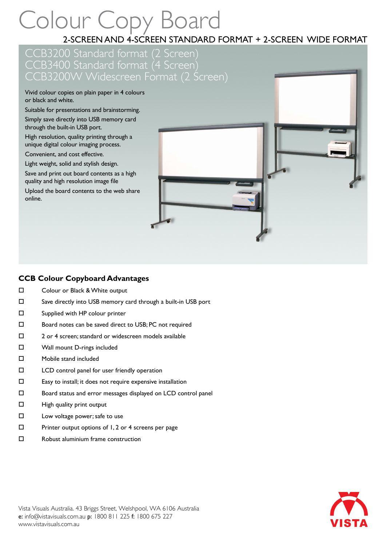# Colour Copy Board

2-SCREEN AND 4-SCREEN STANDARD FORMAT + 2-SCREEN WIDE FORMAT

## CCB3200 Standard format (2 Screen) CCB3400 Standard format (4 Screen) CCB3200W Widescreen Format (2 Screen)

Vivid colour copies on plain paper in 4 colours or black and white.

Suitable for presentations and brainstorming. Simply save directly into USB memory card

through the built-in USB port.

High resolution, quality printing through a unique digital colour imaging process.

Convenient, and cost effective.

Light weight, solid and stylish design.

Save and print out board contents as a high quality and high resolution image file

Upload the board contents to the web share online.



#### **CCB Colour Copyboard Advantages**

- □ Colour or Black & White output
- Save directly into USB memory card through a built-in USB port
- □ Supplied with HP colour printer
- □ Board notes can be saved direct to USB; PC not required
- □ 2 or 4 screen; standard or widescreen models available
- □ Wall mount D-rings included
- Mobile stand included
- LCD control panel for user friendly operation
- $\square$  Easy to install; it does not require expensive installation
- Board status and error messages displayed on LCD control panel
- $\Box$  High quality print output
- $\square$  Low voltage power; safe to use
- $\square$  Printer output options of 1, 2 or 4 screens per page
- □ Robust aluminium frame construction